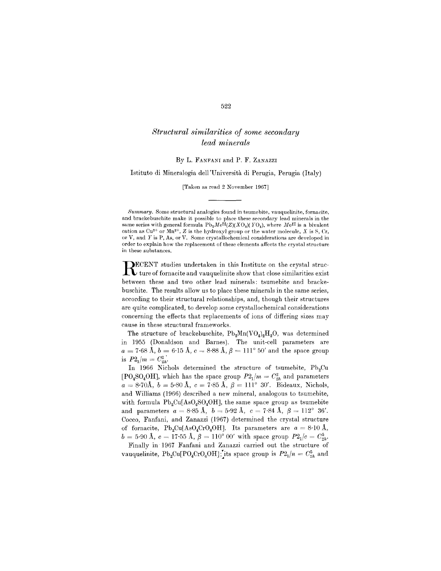# *Structural similarities of some secondary lead minerals*

By L. FANFANI and P. F. ZANAZZI

Istituto di Mineralogia dell 'Universita di Perugia, Perugia (Italy)

[Taken as read 2 November 1967]

*Summary.* Some structural analogies found in tsumebite, vauquelinite, fornacite, and brackebuschite make it possible to place these secondary lead minerals in the same series with general formula  $Pb_2Me^{II}(Z)(XO_4)(\text{TO}_4)$ , where Me<sup>II</sup> is a bivalent cation as  $Cu^{2+}$  or  $Mn^{2+}$ , *Z* is the hydroxyl group or the water molecule, *X* is S, Cr, or V, and Y is P, As, or V. Some erystallochemical considerations are developed in  $\alpha$  order to explain how the replacement of these elements affects the crystal structure. in these substances.

**RECENT** studies undertaken in this Institute on the crystal structure of fornacite and vauquelinite show that close similarities exist ECENT studies undertaken in this Institute on the crystal strucbetween these and two other lead minerals: tsumebite and brackebuschite. The results allow us to place these minerals in the same series, according to their structural relationships, and, though their structures are quite complicated, to develop some crystallochemical considerations concerning the effects that replacements of ions of differing sizes may cause in these structural frameworks.

The structure of brackebuschite,  $Pb_2Mn(VO_4)_2H_2O$ , was determined in 1955 (Donaldson and Barnes). The unit-cell parameters are  $a = 7.68$  Å,  $b = 6.15$  Å,  $c = 8.88$  Å,  $\beta = 111^{\circ}$   $50'$  and the space grou  $\frac{a}{\sin 2a} = \frac{b}{2n}$ .<br>is  $P2_1/m = C_{2h}^2$ .

In 1966 Nichols determined the structure of tsumebite,  $Pb<sub>2</sub>Cu$  $[PO_4SO_4OH]$ , which has the space group  $P2_1/m = C_{2h}^2$  and parameters  $a = 8.70$ Å,  $b = 5.80$  Å,  $c = 7.85$  Å,  $\beta = 111^{\circ}$  30'. Bideaux, Nichols and Williams (1966) described a new mineral, analogous to tsumebite, with formula  $Pb_2Cu[AsO_4SO_4OH]$ , the same space group as tsumebite and parameters  $a = 8.85 \text{ Å}, b = 5.92 \text{ Å}, c = 7.84 \text{ Å}, \beta = 112^{\circ} 36'$ Cocco, Fanfani, and Zanazzi (1967) determined the crystal structure of fornacite,  $Pb_2Cu[AsO_4CrO_4OH]$ . Its parameters are  $a = 8.10 \text{ Å}$ ,  $b = 5.90 \text{ Å}, c = 17.55 \text{ Å}, \beta = 110^{\circ} \text{ }00' \text{ with space group } P2_1/c = C_{2h}^5.$ 

Finally in' 1967 Fanfani and Zanazzi carried out the structure of vauquelinite,  $Pb_2Cu[PO_4CrO_4OH]$ ; its space group is  $P2_1/n = C_{2h}^5$  and

### 522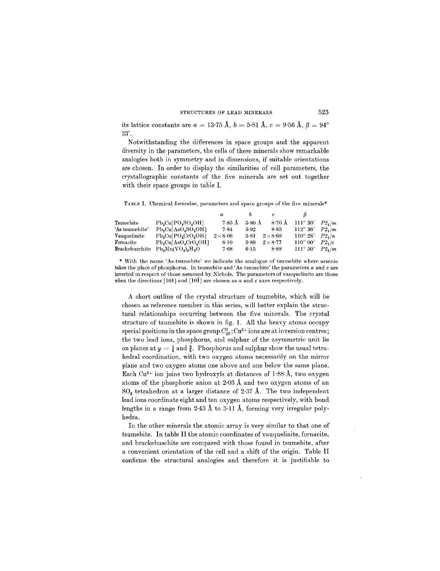#### STRUCTURES OF LEAD MINERALS 523

its lattice constants are  $a = 13.75$  Å,  $b = 5.81$  Å,  $c = 9.56$  Å,  $\beta = 94^{\circ}$ 33'.

Notwithstanding the differences in space groups and the apparent diversity in the parameters, the cells of these minerals show remarkable analogies both in symmetry and in dimensions, if suitable orientations are chosen. In order to display the similarities of cell parameters, the crystallographic constants of the five minerals are set out together with their space groups in table 1.

TABLE I. Chemical formulae, parameters and space groups of the five minerals\*

|                |                                                  | $\boldsymbol{a}$ |                  | c             |                   |             |
|----------------|--------------------------------------------------|------------------|------------------|---------------|-------------------|-------------|
| Tsumebite      | $Pb3Cu[PO4SO4OH]$                                | $7.85$ Å         | $5.80 \text{ Å}$ | $8.70~\AA$    | $111^{\circ}30'$  | $P2.$ /m    |
| 'As-tsumebite' | $Pb_2Cu[AsO_4SO_4OH]$                            | 7.84             | 5.92             | $8 - 85$      | $112^{\circ} 36'$ | $P2 \mu m$  |
| Vauquelinite   | $Pb_2Cu[PO_4CrO_4OH]$                            | $2\times8.06$    | 5.81             | $2\times8.68$ | $110^\circ 28'$   | $P2\cdot/n$ |
| Fornacite      | $Pb_2Cu[AsO_4CrO_4OH]$                           | $8-10$           | 5-89             | $2\times8.77$ | $110^{\circ} 00'$ | P2,  c      |
| Brackebuschite | $Pb_{\alpha}Mn(VO_{\alpha})_{\alpha}H_{\alpha}O$ | $7 - 68$         | $6 - 15$         | 8.88          | $111^{\circ} 50'$ | $P2.$ /m    |

\* With the name 'As-tsumebite' we indicate the analogue of tsumebite where arsenic takes the place of phosphorus. In tsumebite and 'As-tsumebite' the parameters *a* and care inverted in respect of those assumed by Nichols. The parameters of vauquelinite are those when the directions [101] and [101] are chosen as  $a$  and  $c$  axes respectively.

A short outline of the crystal structure of tsumebite, which will be chosen as reference member in this series, will better explain the structural relationships occurring between the five minerals. The crystal structure of tsumebite is shown in fig. 1. All the heavy atoms occupy special positions in the space group  $C_{2h}^2$ :  $Cu^{2+}$  ions are at inversion centres; the two lead ions, phosphorus, and sulphur of the asymmetric unit lie on planes at  $y = \frac{1}{4}$  and  $\frac{3}{4}$ . Phosphorus and sulphur show the usual tetrahedral coordination, with two oxygen atoms necessarily on the mirror plane and two oxygen atoms one above and one below the same plane. Each Cu<sup>2+</sup> ion joins two hydroxyls at distances of  $1.88 \text{ Å}$ , two oxygen atoms of the phosphoric anion at 2.03 A and two oxygen atoms of an 804 tetrahedron at a larger distance of 2.37 A. The two independent lead ions coordinate eight and ten oxygen atoms respectively, with bond lengths in a range from 2.43 A to 3.11 A, forming very irregular polyhedra.

In the other minerals the atomic array is very similar to that one of tsumebite. In table II the atomic coordinates of vauquelinite, fornacite, and brackebuschite are compared with those found in tsumebite, after a convenient orientation of the cell and a shift of the origin. Table II confirms the structural analogies and therefore it is justifiable to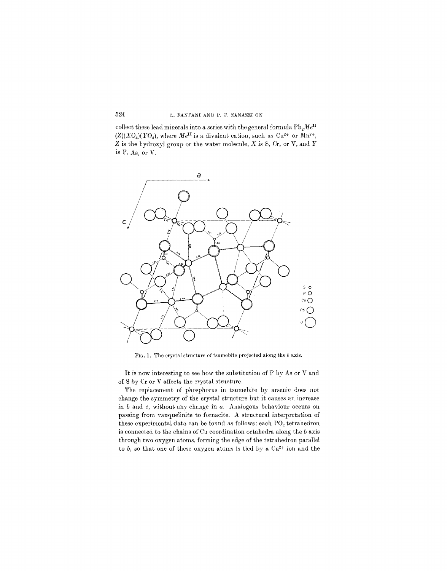### 524 L. FANFANI AND P. F. ZANAZZI ON

collect these lead minerals into a series with the general formula  $Pb_2Me^{II}$  $(Z)(XO<sub>4</sub>)(YO<sub>4</sub>),$  where  $Me<sup>II</sup>$  is a divalent cation, such as Cu<sup>2+</sup> or Mn<sup>2+</sup>, Z is the hydroxyl group or the water molecule, *X* is S, Cr, or V, and *Y* is P, As, or V.



FIG. 1. The crystal structure of tsumebite projected along the *b* axis.

It is now interesting to see how the substitution of P by As or V and of S by Cr or V affects the crystal structure.

The replacement of phosphorus in tsumebite by arsenic does not change the symmetry of the crystal structure but it causes an increase in band c, without any change in *a.* Analogous behaviour occurs on passing from vauquelinite to fornacite. A structural interpretation of these experimental data can be found as follows: each  $PO_4$  tetrahedron is connected to the chains of Cu coordination octahedra along the *b* axis through two oxygen atoms, forming the edge of the tetrahedron parallel to *b*, so that one of these oxygen atoms is tied by a Cu<sup>2+</sup> ion and the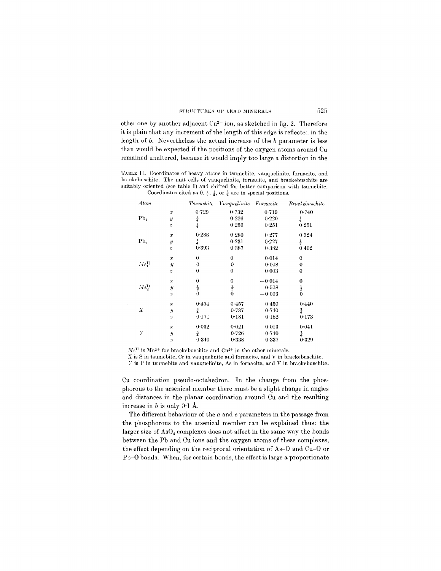other one by another adjacent  $Cu^{2+}$  ion, as sketched in fig. 2. Therefore it is plain that any increment of the length of this edge is reflected in the length of *b.* Nevertheless the actual increase of the *b* parameter is less than would be expected if the positions of the oxygen atoms around Cu remained unaltered, because it would imply too large a distortion in the

TABLE II. Coordinates of heavy atoms in tsumebite, vauguelinite, fornacite, and brackebuschite. The unit cells of vauquelinite, fornacite, and braekebusehite are suitably oriented (see table 1) and shifted for better comparison with tsumebite. Coordinates cited as  $0, \frac{1}{4}, \frac{1}{2},$  or  $\frac{3}{4}$  are in special position

| Atom                  |                  | <i>Tsumebite</i> | Vauguelinite     | Fornacite | <b>Brackebuschite</b> |
|-----------------------|------------------|------------------|------------------|-----------|-----------------------|
|                       | $\boldsymbol{x}$ | 0.729            | 0.732            | 0.719     | 0.740                 |
| Pb <sub>1</sub>       | $\overline{y}$   | $\frac{1}{4}$    | 0.226            | 0.220     | $\frac{1}{4}$         |
|                       | $\boldsymbol{z}$ | $\frac{1}{4}$    | 0.259            | 0.251     | 0.251                 |
|                       | $\boldsymbol{x}$ | 0.288            | 0.280            | 0.277     | 0.324                 |
| Pb <sub>2</sub>       | $\boldsymbol{y}$ | $\frac{1}{4}$    | 0.231            | 0.227     | $\frac{1}{4}$         |
|                       | $\boldsymbol{z}$ | 0.393            | 0.387            | 0.382     | 0.402                 |
|                       | $\boldsymbol{x}$ | 0                | $\boldsymbol{0}$ | 0.014     | $\theta$              |
| $Me_1^{\text{II}}$    | $\boldsymbol{y}$ | 0                | $\theta$         | 0.008     | $\bf{0}$              |
|                       | $\boldsymbol{z}$ | $\mathbf 0$      | $\bf{0}$         | 0.003     | $\theta$              |
|                       | $\boldsymbol{x}$ | 0                | 0                | $-0.014$  | $\bf{0}$              |
| $Me_{\rm o}^{\rm II}$ | $\boldsymbol{y}$ | $\frac{1}{2}$    | $\frac{1}{2}$    | 0.508     | $\frac{1}{2}$         |
|                       | $\boldsymbol{z}$ | $\theta$         | $\bf{0}$         | $-0.003$  | $\bf{0}$              |
|                       | $\boldsymbol{x}$ | 0.454            | 0.457            | 0.450     | 0.440                 |
| Χ                     | $\boldsymbol{y}$ | $\frac{3}{4}$    | 0.737            | 0.740     | $\frac{3}{4}$         |
|                       | $\boldsymbol{z}$ | 0.171            | 0.181            | 0.182     | 0.173                 |
| Y                     | x                | 0.032            | 0.021            | 0.013     | 0.041                 |
|                       | y                | $\frac{3}{4}$    | 0.726            | 0.740     | $\frac{3}{4}$         |
|                       | $\overline{z}$   | 0.340            | 0.338            | 0.337     | 0.329                 |

 $Me<sup>II</sup>$  is  $Mn^{2+}$  for brackebuschite and  $Cu<sup>2+</sup>$  in the other mineral

*X* is S in tsumebite, Cr in vauquelinite and fornacite, and V in brackebusehite.

 $Y$  is P in ts:mebite and vauquelinite, As in fornacite, and V in brackebuschite.

Cu coordination pseudo-octahedron. **In** the change from the phosphorous to the arsenical member there must be a slight change in angles and distances in the planar coordination around Cu and the resulting increase in  $b$  is only  $0.1$  Å.

The different behaviour of the *a* and c parameters in the passage from the phosphorous to the arsenical member can be explained thus: the larger size of  $AsO<sub>4</sub>$  complexes does not affect in the same way the bonds between the Pb and Cu ions and the oxygen atoms of these complexes, the effect depending on the reciprocal orientation of As-O and Cu-O or Pb-O bonds. When, for certain bonds, the effect is large a proportionate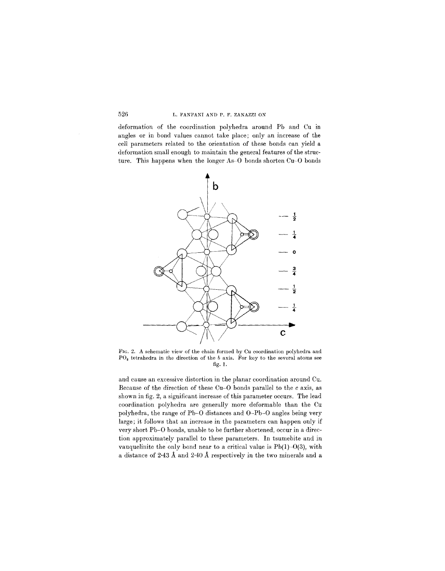## 526 L. FANFANI AND P. F. ZANAZZI ON

deformation of the coordination polyhedra around Pb and Cu in angles or in bond values cannot take place; only an increase of the cell parameters related to the orientation of these bonds can yield a deformation small enough to maintain the general features of the structure. This happens when the longer As-O bonds shorten Cu-O bonds



FIG. 2. A schematic view of the chain formed by Cu coordination polyhedra and PO<sub>4</sub> tetrahedra in the direction of the *b* axis. For key to the several atoms see fig. 1.

and cause an excessive distortion in the planar coordination around Cu. Because of the direction of these Cu-O bonds parallel to the  $c$  axis, as shown in fig. 2, a significant increase of this parameter occurs. The lead coordination polyhedra are generally more deformable than the Cu polyhedra, the range of Pb-O distances and O-Pb-O angles being very large; it follows that an increase in the parameters can happen only if very short Pb-O bonds, unable to be further shortened, occur in a direction approximately parallel to these parameters. In tsumebite and in vauquelinite the only bond near to a critical value is  $Pb(1)-O(3)$ , with a distance of 2.43 A and 2.40 A respectively in the two minerals and a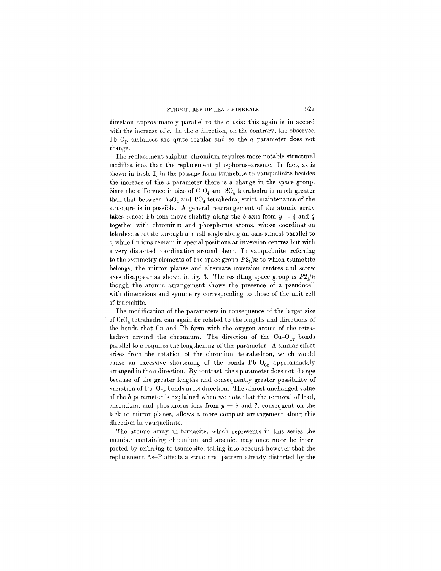direction approximately parallel to the c axis; this again is in accord with the increase of c. **In** the *a* direction, on the contrary, the observed Pb-Op distances are quite regular and so the *a* parameter does not change.

The replacement sulphur-chromium requires more notable structural modifications than the replacement phosphorus-arsenic. **In** fact, as is shown in table **I,** in the passage from tsumebite to vauquelinite besides the increase of the *a* parameter there is a change in the space group. Since the difference in size of  $CrO<sub>4</sub>$  and  $SO<sub>4</sub>$  tetrahedra is much greater than that between  $AsO_4$  and  $PO_4$  tetrahedra, strict maintenance of the structure is impossible. A general rearrangement of the atomic array takes place: Pb ions move slightly along the *b* axis from  $y = \frac{1}{4}$  and  $\frac{3}{4}$ together with chromium and phosphorus atoms, whose coordination tetrahedra rotate through a small angle along an axis almost parallel to c, while Cu ions remain in special positions at inversion centres but with a very distorted coordination around them. **In** vauquelinite, referring to the symmetry elements of the space group  $P2<sub>1</sub>/m$  to which tsumebite belongs, the mirror planes and alternate inversion centres and screw axes disappear as shown in fig. 3. The resulting space group is  $P2<sub>1</sub>/n$ though the atomic arrangement shows the presence of a pseudocell with dimensions and symmetry corresponding to those of the unit cell of tsumebite.

The modification of the parameters in consequence of the larger size of Cr04 tetrahedra can again be related to the lengths and directions of the bonds that Cu and Pb form with the oxygen atoms of the tetrahedron around the chromium. The direction of the  $Cu-O<sub>Cr</sub>$  bonds parallel to *a* requires the lengthening of this parameter. A similar effect arises from the rotation of the chromium tetrahedron, which would cause an excessive shortening of the bonds  $Pb-O<sub>Cr</sub>$  approximately arranged in the *a* direction. By contrast, the c parameter does not change because of the greater lengths and consequently greater possibility of variation of  $Pb-O_{Cr}$  bonds in its direction. The almost unchanged value of the *b* parameter is explained when we note that the removal of lead, chromium, and phosphorus ions from  $y = \frac{1}{4}$  and  $\frac{3}{4}$ , consequent on the lack of mirror planes, allows a more compact arrangement along this direction in vauquelinite.

The atomic array in fornacite, which represents in this series the member containing chromium and arsenic, may once more be interpreted by referring to tsumebite, taking into account however that the replacement As-P affects a struc ural pattern already distorted by the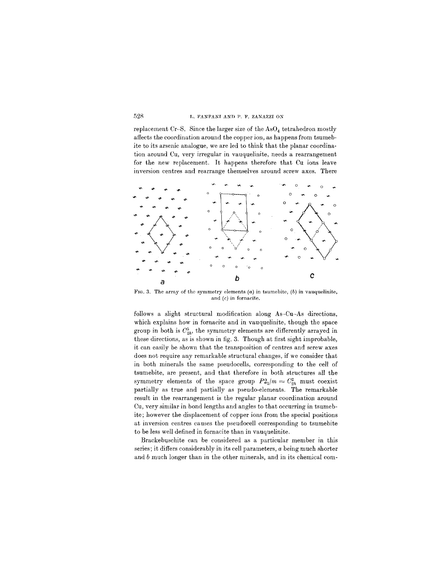### 528 L. FANFANI AND P. F. ZANAZZI ON

replacement Cr-S. Since the larger size of the  $AsO<sub>4</sub>$  tetrahedron mostly affects the coordination around the copper ion, as happens from tsumebite to its arsenic analogue, we are led to think that the planar coordination around Cu, very irregular in vauquelinite, needs a rearrangement for the new replacement. It happens therefore that Cu ions leave inversion centres and rearrange themselves around screw axes. There



FIG. 3. The array of the symmetry elements  $(a)$  in tsumebite,  $(b)$  in vauquelinite, and *(c)* in fornacite.

follows a slight structural modification along As-Cu-As directions, which explains how in fornacite and in vauquelinite, though the space group in both is  $C_{2h}^5$ , the symmetry elements are differently arrayed in these directions, as is shown in fig. 3. Though at first sight improbable, it can easily be shown that the transposition of centres and screw axes does not require any remarkable structural changes, if we consider that in both minerals the same pseudocells, corresponding to the cell of tsumebite, are present, and that therefore in both structures all the symmetry elements of the space group  $P2_1/m = C_{2h}^2$  must coexist partially as true and partially as pseudo-elements. The remarkable result in the rearrangement is the regular planar coordination around Cu, very similar in bond lengths and angles to that occurring in tsumebite; however the displacement of copper ions from the special positions at inversion centres causes the pseudocell corresponding to tsumebite to be less well defined in fornacite than in vauquelinite.

Brackebuschite can be considered as a particular member in this series; it differs considerably in its cell parameters, *a* being much shorter and *b* much longer than in the other minerals, and in its chemical com-